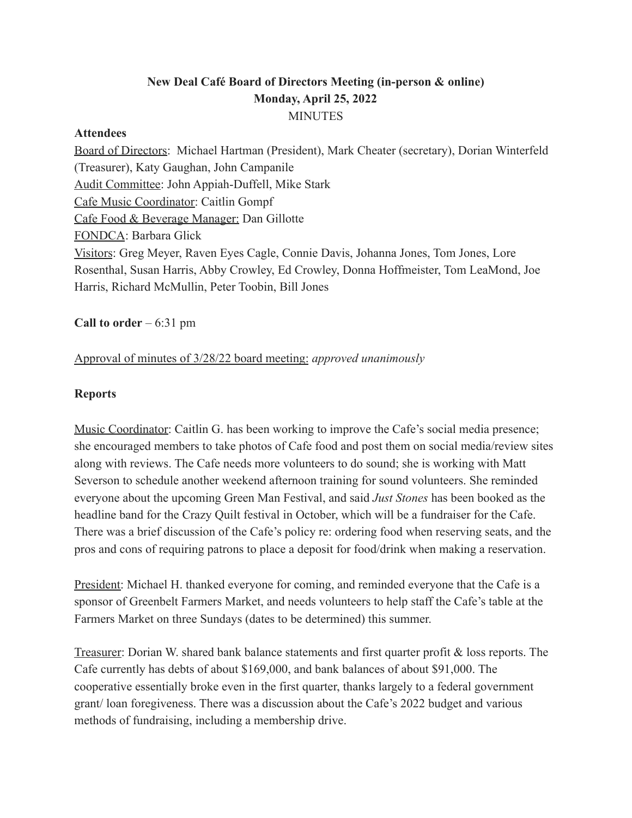## **New Deal Café Board of Directors Meeting (in-person & online) Monday, April 25, 2022 MINUTES**

#### **Attendees**

Board of Directors: Michael Hartman (President), Mark Cheater (secretary), Dorian Winterfeld (Treasurer), Katy Gaughan, John Campanile Audit Committee: John Appiah-Duffell, Mike Stark Cafe Music Coordinator: Caitlin Gompf Cafe Food & Beverage Manager: Dan Gillotte FONDCA: Barbara Glick Visitors: Greg Meyer, Raven Eyes Cagle, Connie Davis, Johanna Jones, Tom Jones, Lore Rosenthal, Susan Harris, Abby Crowley, Ed Crowley, Donna Hoffmeister, Tom LeaMond, Joe Harris, Richard McMullin, Peter Toobin, Bill Jones

**Call to order** – 6:31 pm

### Approval of minutes of 3/28/22 board meeting: *approved unanimously*

### **Reports**

Music Coordinator: Caitlin G. has been working to improve the Cafe's social media presence; she encouraged members to take photos of Cafe food and post them on social media/review sites along with reviews. The Cafe needs more volunteers to do sound; she is working with Matt Severson to schedule another weekend afternoon training for sound volunteers. She reminded everyone about the upcoming Green Man Festival, and said *Just Stones* has been booked as the headline band for the Crazy Quilt festival in October, which will be a fundraiser for the Cafe. There was a brief discussion of the Cafe's policy re: ordering food when reserving seats, and the pros and cons of requiring patrons to place a deposit for food/drink when making a reservation.

President: Michael H. thanked everyone for coming, and reminded everyone that the Cafe is a sponsor of Greenbelt Farmers Market, and needs volunteers to help staff the Cafe's table at the Farmers Market on three Sundays (dates to be determined) this summer.

Treasurer: Dorian W. shared bank balance statements and first quarter profit & loss reports. The Cafe currently has debts of about \$169,000, and bank balances of about \$91,000. The cooperative essentially broke even in the first quarter, thanks largely to a federal government grant/ loan foregiveness. There was a discussion about the Cafe's 2022 budget and various methods of fundraising, including a membership drive.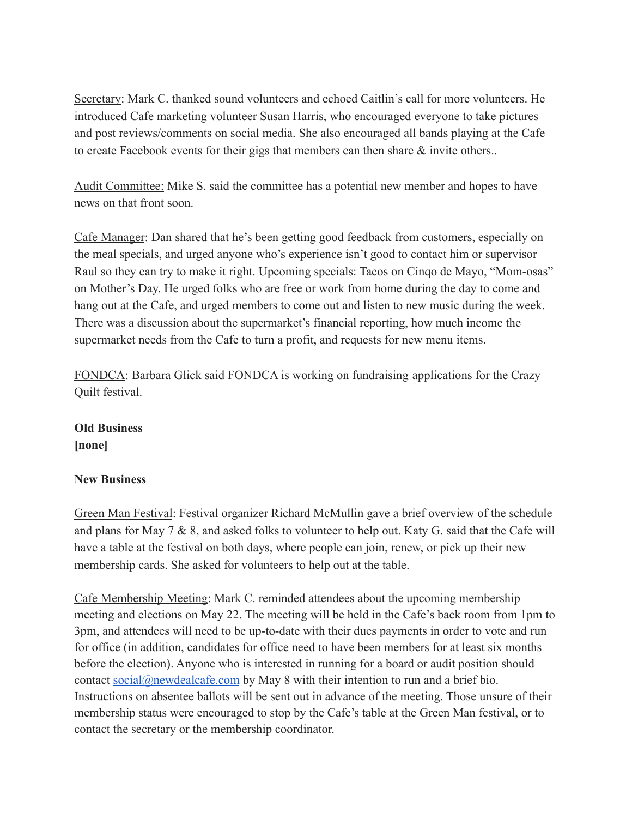Secretary: Mark C. thanked sound volunteers and echoed Caitlin's call for more volunteers. He introduced Cafe marketing volunteer Susan Harris, who encouraged everyone to take pictures and post reviews/comments on social media. She also encouraged all bands playing at the Cafe to create Facebook events for their gigs that members can then share & invite others..

Audit Committee: Mike S. said the committee has a potential new member and hopes to have news on that front soon.

Cafe Manager: Dan shared that he's been getting good feedback from customers, especially on the meal specials, and urged anyone who's experience isn't good to contact him or supervisor Raul so they can try to make it right. Upcoming specials: Tacos on Cinqo de Mayo, "Mom-osas" on Mother's Day. He urged folks who are free or work from home during the day to come and hang out at the Cafe, and urged members to come out and listen to new music during the week. There was a discussion about the supermarket's financial reporting, how much income the supermarket needs from the Cafe to turn a profit, and requests for new menu items.

FONDCA: Barbara Glick said FONDCA is working on fundraising applications for the Crazy Quilt festival.

## **Old Business [none]**

### **New Business**

Green Man Festival: Festival organizer Richard McMullin gave a brief overview of the schedule and plans for May 7 & 8, and asked folks to volunteer to help out. Katy G. said that the Cafe will have a table at the festival on both days, where people can join, renew, or pick up their new membership cards. She asked for volunteers to help out at the table.

Cafe Membership Meeting: Mark C. reminded attendees about the upcoming membership meeting and elections on May 22. The meeting will be held in the Cafe's back room from 1pm to 3pm, and attendees will need to be up-to-date with their dues payments in order to vote and run for office (in addition, candidates for office need to have been members for at least six months before the election). Anyone who is interested in running for a board or audit position should contact [social@newdealcafe.com](mailto:social@newdealcafe.com) by May 8 with their intention to run and a brief bio. Instructions on absentee ballots will be sent out in advance of the meeting. Those unsure of their membership status were encouraged to stop by the Cafe's table at the Green Man festival, or to contact the secretary or the membership coordinator.